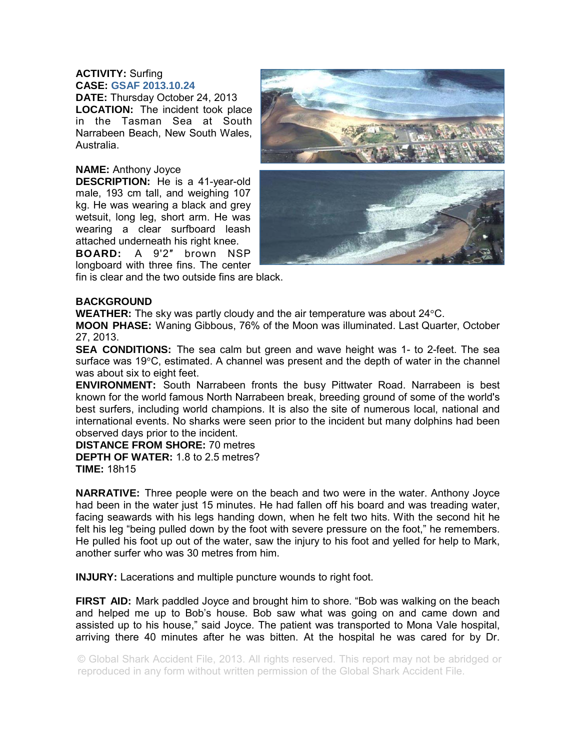## **ACTIVITY:** Surfing **CASE: GSAF 2013.10.24**

**DATE:** Thursday October 24, 2013 **LOCATION:** The incident took place in the Tasman Sea at South Narrabeen Beach, New South Wales, Australia.

## **NAME:** Anthony Joyce

**DESCRIPTION:** He is a 41-year-old male, 193 cm tall, and weighing 107 kg. He was wearing a black and grey wetsuit, long leg, short arm. He was wearing a clear surfboard leash attached underneath his right knee.

**BOARD:** A 9'2″ brown NSP longboard with three fins. The center fin is clear and the two outside fins are black.



## **BACKGROUND**

**WEATHER:** The sky was partly cloudy and the air temperature was about 24°C.

**MOON PHASE:** Waning Gibbous, 76% of the Moon was illuminated. Last Quarter, October 27, 2013.

**SEA CONDITIONS:** The sea calm but green and wave height was 1- to 2-feet. The sea surface was  $19^{\circ}$ C, estimated. A channel was present and the depth of water in the channel was about six to eight feet.

**ENVIRONMENT:** South Narrabeen fronts the busy Pittwater Road. Narrabeen is best known for the world famous North Narrabeen break, breeding ground of some of the world's best surfers, including world champions. It is also the site of numerous local, national and international events. No sharks were seen prior to the incident but many dolphins had been observed days prior to the incident.

**DISTANCE FROM SHORE:** 70 metres **DEPTH OF WATER:** 1.8 to 2.5 metres? **TIME:** 18h15

**NARRATIVE:** Three people were on the beach and two were in the water. Anthony Joyce had been in the water just 15 minutes. He had fallen off his board and was treading water, facing seawards with his legs handing down, when he felt two hits. With the second hit he felt his leg "being pulled down by the foot with severe pressure on the foot," he remembers. He pulled his foot up out of the water, saw the injury to his foot and yelled for help to Mark, another surfer who was 30 metres from him.

**INJURY:** Lacerations and multiple puncture wounds to right foot.

**FIRST AID:** Mark paddled Joyce and brought him to shore. "Bob was walking on the beach and helped me up to Bob's house. Bob saw what was going on and came down and assisted up to his house," said Joyce. The patient was transported to Mona Vale hospital, arriving there 40 minutes after he was bitten. At the hospital he was cared for by Dr.

© Global Shark Accident File, 2013. All rights reserved. This report may not be abridged or reproduced in any form without written permission of the Global Shark Accident File.